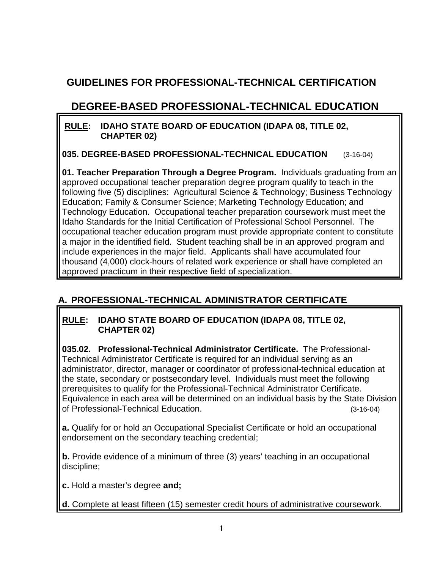# **GUIDELINES FOR PROFESSIONAL-TECHNICAL CERTIFICATION**

# **DEGREE-BASED PROFESSIONAL-TECHNICAL EDUCATION**

### **RULE: IDAHO STATE BOARD OF EDUCATION (IDAPA 08, TITLE 02, CHAPTER 02)**

**035. DEGREE-BASED PROFESSIONAL-TECHNICAL EDUCATION** (3-16-04)

**01. Teacher Preparation Through a Degree Program.** Individuals graduating from an approved occupational teacher preparation degree program qualify to teach in the following five (5) disciplines: Agricultural Science & Technology; Business Technology Education; Family & Consumer Science; Marketing Technology Education; and Technology Education. Occupational teacher preparation coursework must meet the Idaho Standards for the Initial Certification of Professional School Personnel. The occupational teacher education program must provide appropriate content to constitute a major in the identified field. Student teaching shall be in an approved program and include experiences in the major field. Applicants shall have accumulated four thousand (4,000) clock-hours of related work experience or shall have completed an approved practicum in their respective field of specialization.

## **A. PROFESSIONAL-TECHNICAL ADMINISTRATOR CERTIFICATE**

### **RULE: IDAHO STATE BOARD OF EDUCATION (IDAPA 08, TITLE 02, CHAPTER 02)**

**035.02. Professional-Technical Administrator Certificate.** The Professional-Technical Administrator Certificate is required for an individual serving as an administrator, director, manager or coordinator of professional-technical education at the state, secondary or postsecondary level. Individuals must meet the following prerequisites to qualify for the Professional-Technical Administrator Certificate. Equivalence in each area will be determined on an individual basis by the State Division of Professional-Technical Education. (3-16-04)

**a.** Qualify for or hold an Occupational Specialist Certificate or hold an occupational endorsement on the secondary teaching credential;

**b.** Provide evidence of a minimum of three (3) years' teaching in an occupational discipline;

**c.** Hold a master's degree **and;**

**d.** Complete at least fifteen (15) semester credit hours of administrative coursework.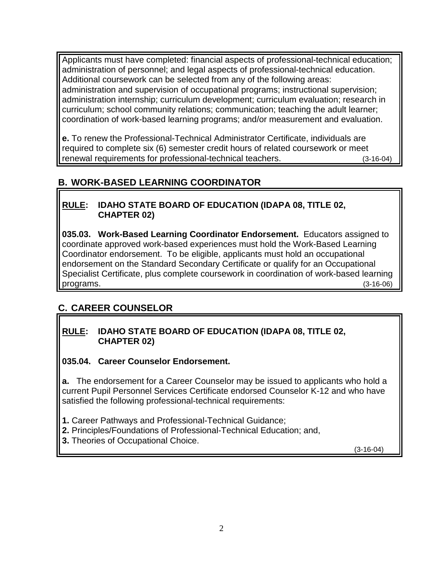Applicants must have completed: financial aspects of professional-technical education; administration of personnel; and legal aspects of professional-technical education. Additional coursework can be selected from any of the following areas: administration and supervision of occupational programs; instructional supervision; administration internship; curriculum development; curriculum evaluation; research in curriculum; school community relations; communication; teaching the adult learner; coordination of work-based learning programs; and/or measurement and evaluation.

**e.** To renew the Professional-Technical Administrator Certificate, individuals are required to complete six (6) semester credit hours of related coursework or meet renewal requirements for professional-technical teachers. (3-16-04)

## **B. WORK-BASED LEARNING COORDINATOR**

### **RULE: IDAHO STATE BOARD OF EDUCATION (IDAPA 08, TITLE 02, CHAPTER 02)**

**035.03. Work-Based Learning Coordinator Endorsement.** Educators assigned to coordinate approved work-based experiences must hold the Work-Based Learning Coordinator endorsement. To be eligible, applicants must hold an occupational endorsement on the Standard Secondary Certificate or qualify for an Occupational Specialist Certificate, plus complete coursework in coordination of work-based learning programs. (3-16-06)

## **C. CAREER COUNSELOR**

#### **RULE: IDAHO STATE BOARD OF EDUCATION (IDAPA 08, TITLE 02, CHAPTER 02)**

### **035.04. Career Counselor Endorsement.**

**a.** The endorsement for a Career Counselor may be issued to applicants who hold a current Pupil Personnel Services Certificate endorsed Counselor K-12 and who have satisfied the following professional-technical requirements:

**1.** Career Pathways and Professional-Technical Guidance;

**2.** Principles/Foundations of Professional-Technical Education; and,

**3.** Theories of Occupational Choice.

(3-16-04)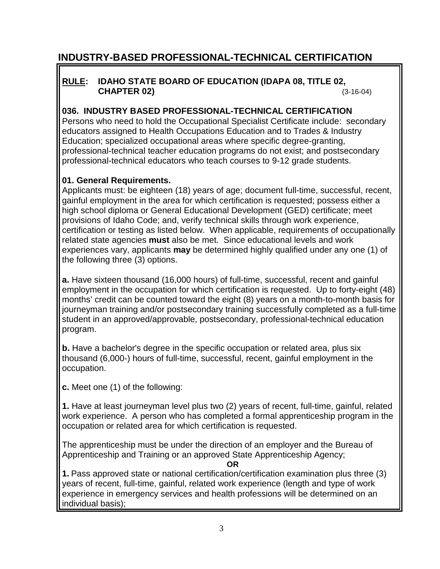# **INDUSTRY-BASED PROFESSIONAL-TECHNICAL CERTIFICATION**

### **RULE: IDAHO STATE BOARD OF EDUCATION (IDAPA 08, TITLE 02, CHAPTER 02)** (3-16-04)

#### **036. INDUSTRY BASED PROFESSIONAL-TECHNICAL CERTIFICATION**

Persons who need to hold the Occupational Specialist Certificate include: secondary educators assigned to Health Occupations Education and to Trades & Industry Education; specialized occupational areas where specific degree-granting, professional-technical teacher education programs do not exist; and postsecondary professional-technical educators who teach courses to 9-12 grade students.

#### **01. General Requirements.**

Applicants must: be eighteen (18) years of age; document full-time, successful, recent, gainful employment in the area for which certification is requested; possess either a high school diploma or General Educational Development (GED) certificate; meet provisions of Idaho Code; and, verify technical skills through work experience, certification or testing as listed below. When applicable, requirements of occupationally related state agencies **must** also be met. Since educational levels and work experiences vary, applicants **may** be determined highly qualified under any one (1) of the following three (3) options.

**a.** Have sixteen thousand (16,000 hours) of full-time, successful, recent and gainful employment in the occupation for which certification is requested. Up to forty-eight (48) months' credit can be counted toward the eight (8) years on a month-to-month basis for journeyman training and/or postsecondary training successfully completed as a full-time student in an approved/approvable, postsecondary, professional-technical education program.

**b.** Have a bachelor's degree in the specific occupation or related area, plus six thousand (6,000-) hours of full-time, successful, recent, gainful employment in the occupation.

**c.** Meet one (1) of the following:

**1.** Have at least journeyman level plus two (2) years of recent, full-time, gainful, related work experience. A person who has completed a formal apprenticeship program in the occupation or related area for which certification is requested.

The apprenticeship must be under the direction of an employer and the Bureau of Apprenticeship and Training or an approved State Apprenticeship Agency;

**OR**

**1.** Pass approved state or national certification/certification examination plus three (3) years of recent, full-time, gainful, related work experience (length and type of work experience in emergency services and health professions will be determined on an individual basis);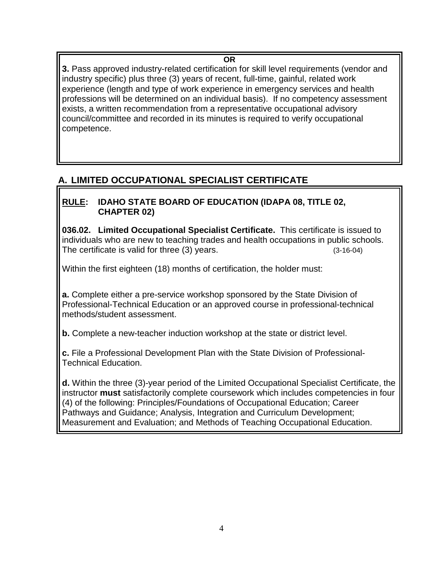### **OR**

**3.** Pass approved industry-related certification for skill level requirements (vendor and industry specific) plus three (3) years of recent, full-time, gainful, related work experience (length and type of work experience in emergency services and health professions will be determined on an individual basis). If no competency assessment exists, a written recommendation from a representative occupational advisory council/committee and recorded in its minutes is required to verify occupational competence.

## **A. LIMITED OCCUPATIONAL SPECIALIST CERTIFICATE**

### **RULE: IDAHO STATE BOARD OF EDUCATION (IDAPA 08, TITLE 02, CHAPTER 02)**

**036.02. Limited Occupational Specialist Certificate.** This certificate is issued to individuals who are new to teaching trades and health occupations in public schools. The certificate is valid for three (3) years. (3-16-04)

Within the first eighteen (18) months of certification, the holder must:

**a.** Complete either a pre-service workshop sponsored by the State Division of Professional-Technical Education or an approved course in professional-technical methods/student assessment.

**b.** Complete a new-teacher induction workshop at the state or district level.

**c.** File a Professional Development Plan with the State Division of Professional-Technical Education.

**d.** Within the three (3)-year period of the Limited Occupational Specialist Certificate, the instructor **must** satisfactorily complete coursework which includes competencies in four (4) of the following: Principles/Foundations of Occupational Education; Career Pathways and Guidance; Analysis, Integration and Curriculum Development; Measurement and Evaluation; and Methods of Teaching Occupational Education.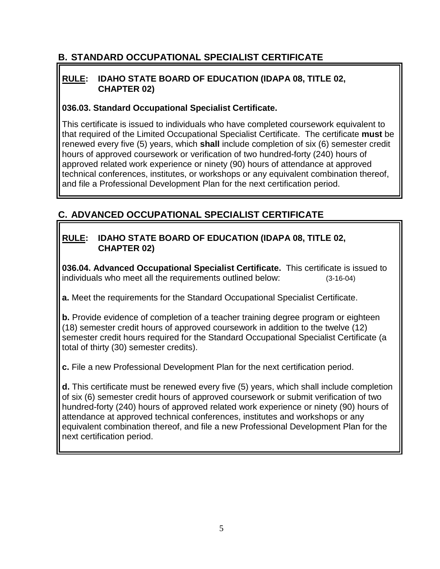## **B. STANDARD OCCUPATIONAL SPECIALIST CERTIFICATE**

### **RULE: IDAHO STATE BOARD OF EDUCATION (IDAPA 08, TITLE 02, CHAPTER 02)**

### **036.03. Standard Occupational Specialist Certificate.**

This certificate is issued to individuals who have completed coursework equivalent to that required of the Limited Occupational Specialist Certificate. The certificate **must** be renewed every five (5) years, which **shall** include completion of six (6) semester credit hours of approved coursework or verification of two hundred-forty (240) hours of approved related work experience or ninety (90) hours of attendance at approved technical conferences, institutes, or workshops or any equivalent combination thereof, and file a Professional Development Plan for the next certification period.

## **C. ADVANCED OCCUPATIONAL SPECIALIST CERTIFICATE**

### **RULE: IDAHO STATE BOARD OF EDUCATION (IDAPA 08, TITLE 02, CHAPTER 02)**

**036.04. Advanced Occupational Specialist Certificate.** This certificate is issued to individuals who meet all the requirements outlined below: (3-16-04)

**a.** Meet the requirements for the Standard Occupational Specialist Certificate.

**b.** Provide evidence of completion of a teacher training degree program or eighteen (18) semester credit hours of approved coursework in addition to the twelve (12) semester credit hours required for the Standard Occupational Specialist Certificate (a total of thirty (30) semester credits).

**c.** File a new Professional Development Plan for the next certification period.

**d.** This certificate must be renewed every five (5) years, which shall include completion of six (6) semester credit hours of approved coursework or submit verification of two hundred-forty (240) hours of approved related work experience or ninety (90) hours of attendance at approved technical conferences, institutes and workshops or any equivalent combination thereof, and file a new Professional Development Plan for the next certification period.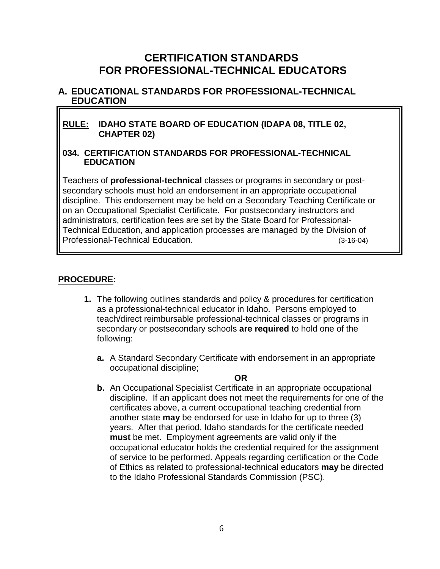## **CERTIFICATION STANDARDS FOR PROFESSIONAL-TECHNICAL EDUCATORS**

#### **A. EDUCATIONAL STANDARDS FOR PROFESSIONAL-TECHNICAL EDUCATION**

#### **RULE: IDAHO STATE BOARD OF EDUCATION (IDAPA 08, TITLE 02, CHAPTER 02)**

#### **034. CERTIFICATION STANDARDS FOR PROFESSIONAL-TECHNICAL EDUCATION**

Teachers of **professional-technical** classes or programs in secondary or postsecondary schools must hold an endorsement in an appropriate occupational discipline. This endorsement may be held on a Secondary Teaching Certificate or on an Occupational Specialist Certificate. For postsecondary instructors and administrators, certification fees are set by the State Board for Professional-Technical Education, and application processes are managed by the Division of Professional-Technical Education. (3-16-04)

#### **PROCEDURE:**

- **1.** The following outlines standards and policy & procedures for certification as a professional-technical educator in Idaho. Persons employed to teach/direct reimbursable professional-technical classes or programs in secondary or postsecondary schools **are required** to hold one of the following:
	- **a.** A Standard Secondary Certificate with endorsement in an appropriate occupational discipline;

#### **OR**

**b.** An Occupational Specialist Certificate in an appropriate occupational discipline. If an applicant does not meet the requirements for one of the certificates above, a current occupational teaching credential from another state **may** be endorsed for use in Idaho for up to three (3) years. After that period, Idaho standards for the certificate needed **must** be met. Employment agreements are valid only if the occupational educator holds the credential required for the assignment of service to be performed. Appeals regarding certification or the Code of Ethics as related to professional-technical educators **may** be directed to the Idaho Professional Standards Commission (PSC).